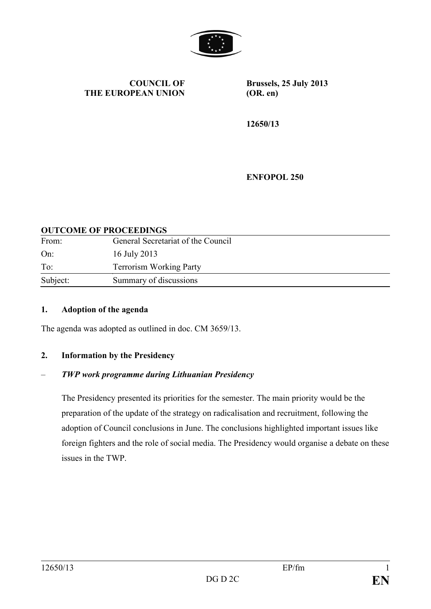

**COUNCIL OF THE EUROPEAN UNION**

**Brussels, 25 July 2013 (OR. en)**

**12650/13**

**ENFOPOL 250**

#### **OUTCOME OF PROCEEDINGS**

| From:    | General Secretariat of the Council |
|----------|------------------------------------|
| On:      | 16 July 2013                       |
| To:      | <b>Terrorism Working Party</b>     |
| Subject: | Summary of discussions             |

#### **1. Adoption of the agenda**

The agenda was adopted as outlined in doc. CM 3659/13.

#### **2. Information by the Presidency**

#### – *TWP work programme during Lithuanian Presidency*

The Presidency presented its priorities for the semester. The main priority would be the preparation of the update of the strategy on radicalisation and recruitment, following the adoption of Council conclusions in June. The conclusions highlighted important issues like foreign fighters and the role of social media. The Presidency would organise a debate on these issues in the TWP.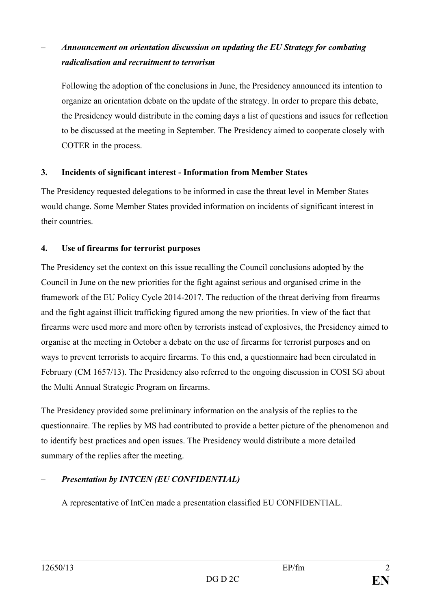# – *Announcement on orientation discussion on updating the EU Strategy for combating radicalisation and recruitment to terrorism*

Following the adoption of the conclusions in June, the Presidency announced its intention to organize an orientation debate on the update of the strategy. In order to prepare this debate, the Presidency would distribute in the coming days a list of questions and issues for reflection to be discussed at the meeting in September. The Presidency aimed to cooperate closely with COTER in the process.

## **3. Incidents of significant interest - Information from Member States**

The Presidency requested delegations to be informed in case the threat level in Member States would change. Some Member States provided information on incidents of significant interest in their countries.

## **4. Use of firearms for terrorist purposes**

The Presidency set the context on this issue recalling the Council conclusions adopted by the Council in June on the new priorities for the fight against serious and organised crime in the framework of the EU Policy Cycle 2014-2017. The reduction of the threat deriving from firearms and the fight against illicit trafficking figured among the new priorities. In view of the fact that firearms were used more and more often by terrorists instead of explosives, the Presidency aimed to organise at the meeting in October a debate on the use of firearms for terrorist purposes and on ways to prevent terrorists to acquire firearms. To this end, a questionnaire had been circulated in February (CM 1657/13). The Presidency also referred to the ongoing discussion in COSI SG about the Multi Annual Strategic Program on firearms.

The Presidency provided some preliminary information on the analysis of the replies to the questionnaire. The replies by MS had contributed to provide a better picture of the phenomenon and to identify best practices and open issues. The Presidency would distribute a more detailed summary of the replies after the meeting.

## – *Presentation by INTCEN (EU CONFIDENTIAL)*

A representative of IntCen made a presentation classified EU CONFIDENTIAL.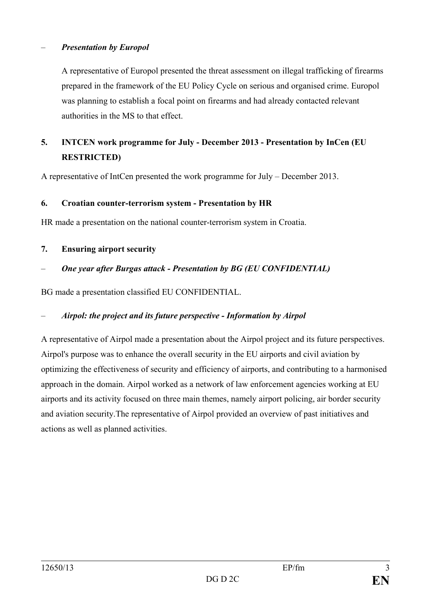#### – *Presentation by Europol*

A representative of Europol presented the threat assessment on illegal trafficking of firearms prepared in the framework of the EU Policy Cycle on serious and organised crime. Europol was planning to establish a focal point on firearms and had already contacted relevant authorities in the MS to that effect.

## **5. INTCEN work programme for July - December 2013 - Presentation by InCen (EU RESTRICTED)**

A representative of IntCen presented the work programme for July – December 2013.

#### **6. Croatian counter-terrorism system - Presentation by HR**

HR made a presentation on the national counter-terrorism system in Croatia.

**7. Ensuring airport security** 

## – *One year after Burgas attack - Presentation by BG (EU CONFIDENTIAL)*

BG made a presentation classified EU CONFIDENTIAL.

#### – *Airpol: the project and its future perspective - Information by Airpol*

A representative of Airpol made a presentation about the Airpol project and its future perspectives. Airpol's purpose was to enhance the overall security in the EU airports and civil aviation by optimizing the effectiveness of security and efficiency of airports, and contributing to a harmonised approach in the domain. Airpol worked as a network of law enforcement agencies working at EU airports and its activity focused on three main themes, namely airport policing, air border security and aviation security.The representative of Airpol provided an overview of past initiatives and actions as well as planned activities.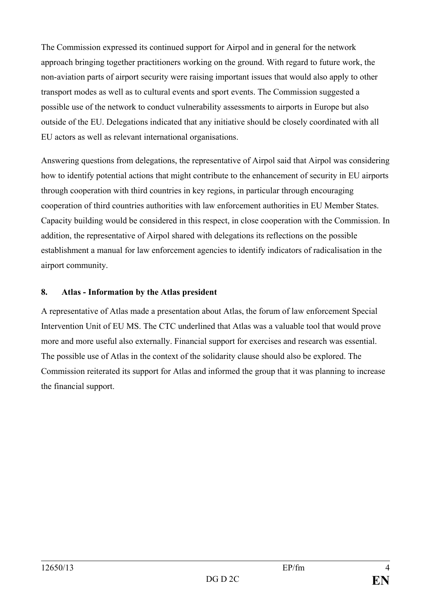The Commission expressed its continued support for Airpol and in general for the network approach bringing together practitioners working on the ground. With regard to future work, the non-aviation parts of airport security were raising important issues that would also apply to other transport modes as well as to cultural events and sport events. The Commission suggested a possible use of the network to conduct vulnerability assessments to airports in Europe but also outside of the EU. Delegations indicated that any initiative should be closely coordinated with all EU actors as well as relevant international organisations.

Answering questions from delegations, the representative of Airpol said that Airpol was considering how to identify potential actions that might contribute to the enhancement of security in EU airports through cooperation with third countries in key regions, in particular through encouraging cooperation of third countries authorities with law enforcement authorities in EU Member States. Capacity building would be considered in this respect, in close cooperation with the Commission. In addition, the representative of Airpol shared with delegations its reflections on the possible establishment a manual for law enforcement agencies to identify indicators of radicalisation in the airport community.

## **8. Atlas - Information by the Atlas president**

A representative of Atlas made a presentation about Atlas, the forum of law enforcement Special Intervention Unit of EU MS. The CTC underlined that Atlas was a valuable tool that would prove more and more useful also externally. Financial support for exercises and research was essential. The possible use of Atlas in the context of the solidarity clause should also be explored. The Commission reiterated its support for Atlas and informed the group that it was planning to increase the financial support.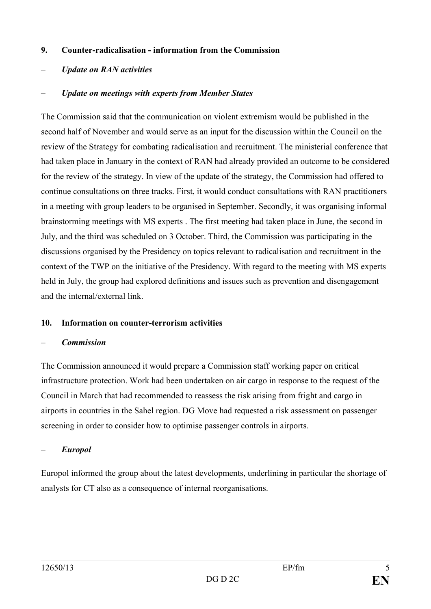#### **9. Counter-radicalisation - information from the Commission**

– *Update on RAN activities*

#### – *Update on meetings with experts from Member States*

The Commission said that the communication on violent extremism would be published in the second half of November and would serve as an input for the discussion within the Council on the review of the Strategy for combating radicalisation and recruitment. The ministerial conference that had taken place in January in the context of RAN had already provided an outcome to be considered for the review of the strategy. In view of the update of the strategy, the Commission had offered to continue consultations on three tracks. First, it would conduct consultations with RAN practitioners in a meeting with group leaders to be organised in September. Secondly, it was organising informal brainstorming meetings with MS experts . The first meeting had taken place in June, the second in July, and the third was scheduled on 3 October. Third, the Commission was participating in the discussions organised by the Presidency on topics relevant to radicalisation and recruitment in the context of the TWP on the initiative of the Presidency. With regard to the meeting with MS experts held in July, the group had explored definitions and issues such as prevention and disengagement and the internal/external link.

#### **10. Information on counter-terrorism activities**

#### – *Commission*

The Commission announced it would prepare a Commission staff working paper on critical infrastructure protection. Work had been undertaken on air cargo in response to the request of the Council in March that had recommended to reassess the risk arising from fright and cargo in airports in countries in the Sahel region. DG Move had requested a risk assessment on passenger screening in order to consider how to optimise passenger controls in airports.

#### – *Europol*

Europol informed the group about the latest developments, underlining in particular the shortage of analysts for CT also as a consequence of internal reorganisations.